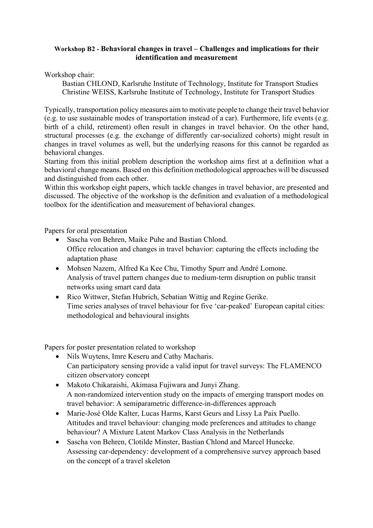## **Workshop B2 - Behavioral changes in travel – Challenges and implications for their identification and measurement**

Workshop chair:

Bastian CHLOND, Karlsruhe Institute of Technology, Institute for Transport Studies Christine WEISS, Karlsruhe Institute of Technology, Institute for Transport Studies

Typically, transportation policy measures aim to motivate people to change their travel behavior (e.g. to use sustainable modes of transportation instead of a car). Furthermore, life events (e.g. birth of a child, retirement) often result in changes in travel behavior. On the other hand, structural processes (e.g. the exchange of differently car-socialized cohorts) might result in changes in travel volumes as well, but the underlying reasons for this cannot be regarded as behavioral changes.

Starting from this initial problem description the workshop aims first at a definition what a behavioral change means. Based on this definition methodological approaches will be discussed and distinguished from each other.

Within this workshop eight papers, which tackle changes in travel behavior, are presented and discussed. The objective of the workshop is the definition and evaluation of a methodological toolbox for the identification and measurement of behavioral changes.

Papers for oral presentation

- Sascha von Behren, Maike Puhe and Bastian Chlond. Office relocation and changes in travel behavior: capturing the effects including the adaptation phase
- Mohsen Nazem, Alfred Ka Kee Chu, Timothy Spurr and André Lomone. Analysis of travel pattern changes due to medium-term disruption on public transit networks using smart card data
- Rico Wittwer, Stefan Hubrich, Sebatian Wittig and Regine Gerike. Time series analyses of travel behaviour for five 'car-peaked' European capital cities: methodological and behavioural insights

Papers for poster presentation related to workshop

- Nils Wuytens, Imre Keseru and Cathy Macharis. Can participatory sensing provide a valid input for travel surveys: The FLAMENCO citizen observatory concept
- Makoto Chikaraishi, Akimasa Fujiwara and Junyi Zhang. A non-randomized intervention study on the impacts of emerging transport modes on travel behavior: A semiparametric difference-in-differences approach
- Marie-José Olde Kalter, Lucas Harms, Karst Geurs and Lissy La Paix Puello. Attitudes and travel behaviour: changing mode preferences and attitudes to change behaviour? A Mixture Latent Markov Class Analysis in the Netherlands
- Sascha von Behren, Clotilde Minster, Bastian Chlond and Marcel Hunecke. Assessing car-dependency: development of a comprehensive survey approach based on the concept of a travel skeleton